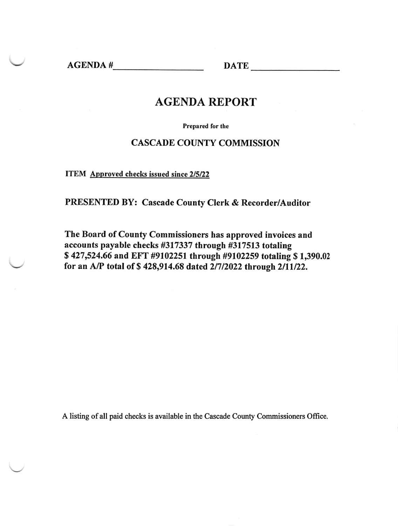AGENDA # DATE

### AGENDA REPORT

Prepared for the

#### CASCADE COUNTY COMMISSION

ITEM Approved checks issued since 2/5/22

PRESENTED BY: Cascade County Clerk & Recorder/Auditor

The Board of County Commissioners has approved invoices and accounts payable checks #317337 through #317513 totaling \$ 427,524.66 and EFT #9102251 through #9102259 totaling \$ 1,390.02 for an A/P total of \$428,914.68 dated 2/7/2022 through 2/11/22.

A listing ofall paid checks is available in the Cascade County Commissioners Office.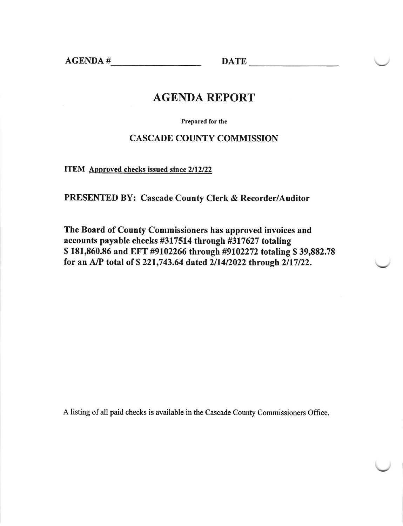$AGENDA \#$  DATE

### AGENDA REPORT

Prepared for the

#### CASCADE COUNTY COMMISSION

ITEM Approved checks issued since 2/12/22

PRESENTED BY: Cascade County Clerk & Recorder/Auditor

The Board of County Commissioners has approved invoices and accounts payable checks #317514 through #317627 totaling \$ 181,860.86 and EFT #9102266 through #9102272 totaling \$ 39,882.78 for an A/P total of \$ 221,743.64 dated 2/14/2022 through 2/17/22.

A listing of all paid checks is available in the Cascade County Commissioners Offrce.